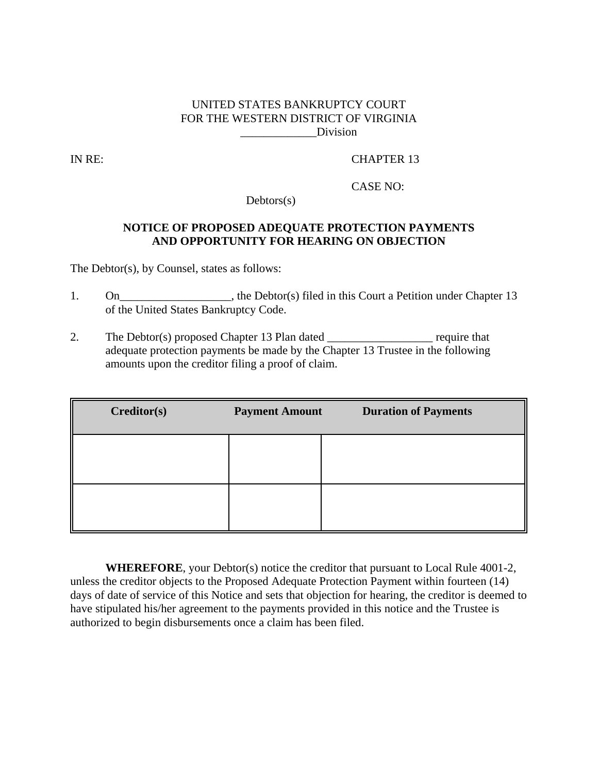## UNITED STATES BANKRUPTCY COURT FOR THE WESTERN DISTRICT OF VIRGINIA \_\_\_\_\_\_\_\_\_\_\_\_\_Division

IN RE: CHAPTER 13

CASE NO:

Debtors(s)

## **NOTICE OF PROPOSED ADEQUATE PROTECTION PAYMENTS AND OPPORTUNITY FOR HEARING ON OBJECTION**

The Debtor(s), by Counsel, states as follows:

- 1. On\_\_\_\_\_\_\_\_\_\_\_\_\_\_\_\_\_\_, the Debtor(s) filed in this Court a Petition under Chapter 13 of the United States Bankruptcy Code.
- 2. The Debtor(s) proposed Chapter 13 Plan dated \_\_\_\_\_\_\_\_\_\_\_\_\_\_\_\_\_\_\_ require that adequate protection payments be made by the Chapter 13 Trustee in the following amounts upon the creditor filing a proof of claim.

| Creditor(s) | <b>Payment Amount</b> | <b>Duration of Payments</b> |
|-------------|-----------------------|-----------------------------|
|             |                       |                             |
|             |                       |                             |
|             |                       |                             |

**WHEREFORE**, your Debtor(s) notice the creditor that pursuant to Local Rule 4001-2, unless the creditor objects to the Proposed Adequate Protection Payment within fourteen (14) days of date of service of this Notice and sets that objection for hearing, the creditor is deemed to have stipulated his/her agreement to the payments provided in this notice and the Trustee is authorized to begin disbursements once a claim has been filed.